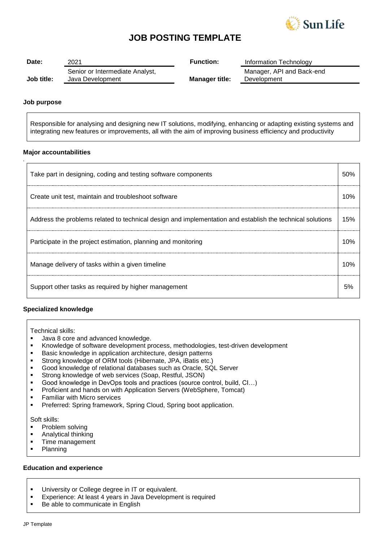

## **JOB POSTING TEMPLATE**

| Date:      | 2021                                                | <b>Function:</b>      | Information Technology                   |
|------------|-----------------------------------------------------|-----------------------|------------------------------------------|
| Job title: | Senior or Intermediate Analyst,<br>Java Development | <b>Manager title:</b> | Manager, API and Back-end<br>Development |

#### **Job purpose**

*.*

Responsible for analysing and designing new IT solutions, modifying, enhancing or adapting existing systems and integrating new features or improvements, all with the aim of improving business efficiency and productivity

#### **Major accountabilities**

| Take part in designing, coding and testing software components                                            |      |
|-----------------------------------------------------------------------------------------------------------|------|
| Create unit test, maintain and troubleshoot software                                                      | 1 በ% |
| Address the problems related to technical design and implementation and establish the technical solutions | 15%  |
| Participate in the project estimation, planning and monitoring                                            | 1 በ% |
| Manage delivery of tasks within a given timeline                                                          | 1 በ% |
| Support other tasks as required by higher management                                                      |      |

#### **Specialized knowledge**

Technical skills:

- **Java 8 core and advanced knowledge.**
- Knowledge of software development process, methodologies, test-driven development
- **Basic knowledge in application architecture, design patterns**
- Strong knowledge of ORM tools (Hibernate, JPA, iBatis etc.)
- Good knowledge of relational databases such as Oracle, SQL Server
- Strong knowledge of web services (Soap, Restful, JSON)<br>Good knowledge in DevOps tools and practices (source c
- Good knowledge in DevOps tools and practices (source control, build, CI…)
- **Proficient and hands on with Application Servers (WebSphere, Tomcat)**<br>Familiar with Micro services
- **Familiar with Micro services**<br>**Preferred: Spring framework**
- Preferred: Spring framework, Spring Cloud, Spring boot application.

Soft skills:

- **•** Problem solving
- **Analytical thinking**
- **Time management**
- Planning

#### **Education and experience**

- **University or College degree in IT or equivalent.**
- Experience: At least 4 years in Java Development is required
- Be able to communicate in English